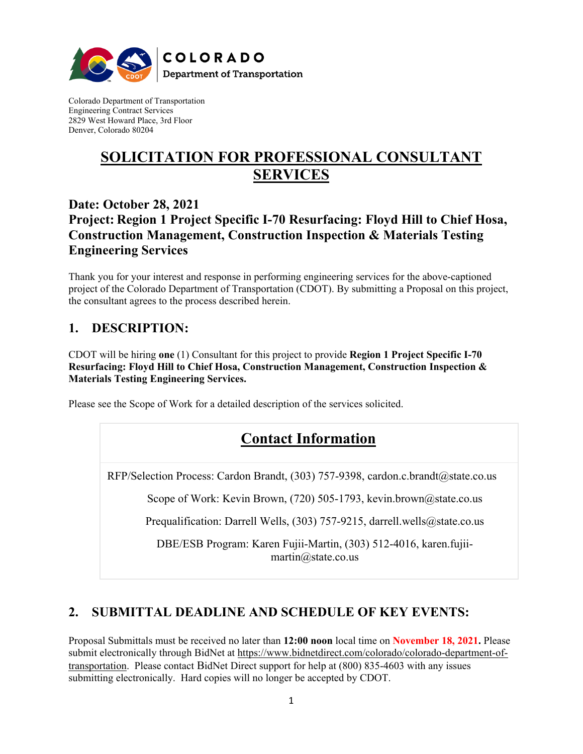

Colorado Department of Transportation Engineering Contract Services 2829 West Howard Place, 3rd Floor Denver, Colorado 80204

# **SOLICITATION FOR PROFESSIONAL CONSULTANT SERVICES**

## **Date: October 28, 2021 Project: Region 1 Project Specific I-70 Resurfacing: Floyd Hill to Chief Hosa, Construction Management, Construction Inspection & Materials Testing Engineering Services**

Thank you for your interest and response in performing engineering services for the above-captioned project of the Colorado Department of Transportation (CDOT). By submitting a Proposal on this project, the consultant agrees to the process described herein.

# **1. DESCRIPTION:**

CDOT will be hiring **one** (1) Consultant for this project to provide **Region 1 Project Specific I-70 Resurfacing: Floyd Hill to Chief Hosa, Construction Management, Construction Inspection & Materials Testing Engineering Services.**

Please see the Scope of Work for a detailed description of the services solicited.

# **Contact Information**

RFP/Selection Process: Cardon Brandt, (303) 757-9398, cardon.c.brandt@state.co.us

Scope of Work: Kevin Brown, (720) 505-1793, kevin.brown@state.co.us

Prequalification: Darrell Wells, (303) 757-9215, darrell.wells@state.co.us

DBE/ESB Program: Karen Fujii-Martin, (303) 512-4016, karen.fujiimartin@state.co.us

## **2. SUBMITTAL DEADLINE AND SCHEDULE OF KEY EVENTS:**

Proposal Submittals must be received no later than **12:00 noon** local time on **November 18, 2021.** Please submit electronically through BidNet at [https://www.bidnetdirect.com/colorado/colorado-department-of](https://www.bidnetdirect.com/colorado/colorado-department-of-transportation)[transportation.](https://www.bidnetdirect.com/colorado/colorado-department-of-transportation) Please contact BidNet Direct support for help at (800) 835-4603 with any issues submitting electronically. Hard copies will no longer be accepted by CDOT.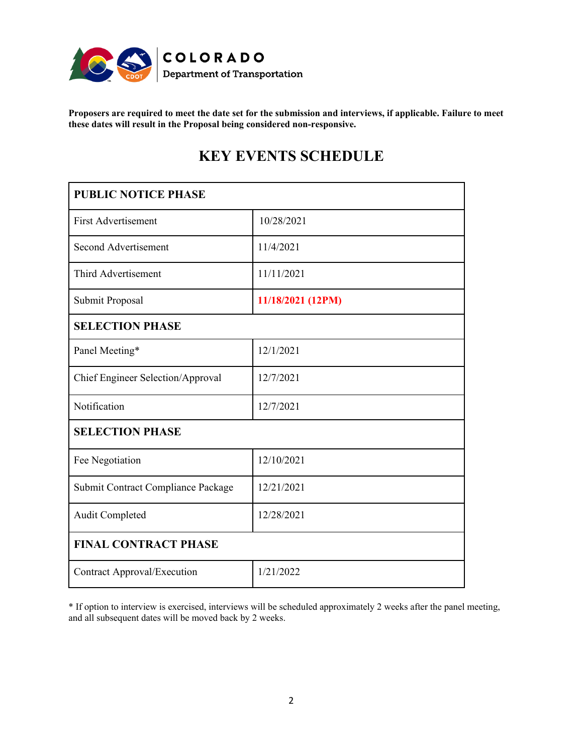

**Proposers are required to meet the date set for the submission and interviews, if applicable. Failure to meet these dates will result in the Proposal being considered non-responsive.**

# **KEY EVENTS SCHEDULE**

| <b>PUBLIC NOTICE PHASE</b>         |                   |
|------------------------------------|-------------------|
| <b>First Advertisement</b>         | 10/28/2021        |
| Second Advertisement               | 11/4/2021         |
| Third Advertisement                | 11/11/2021        |
| Submit Proposal                    | 11/18/2021 (12PM) |
| <b>SELECTION PHASE</b>             |                   |
| Panel Meeting*                     | 12/1/2021         |
| Chief Engineer Selection/Approval  | 12/7/2021         |
| Notification                       | 12/7/2021         |
| <b>SELECTION PHASE</b>             |                   |
| Fee Negotiation                    | 12/10/2021        |
| Submit Contract Compliance Package | 12/21/2021        |
| Audit Completed                    | 12/28/2021        |
| <b>FINAL CONTRACT PHASE</b>        |                   |
| <b>Contract Approval/Execution</b> | 1/21/2022         |

\* If option to interview is exercised, interviews will be scheduled approximately 2 weeks after the panel meeting, and all subsequent dates will be moved back by 2 weeks.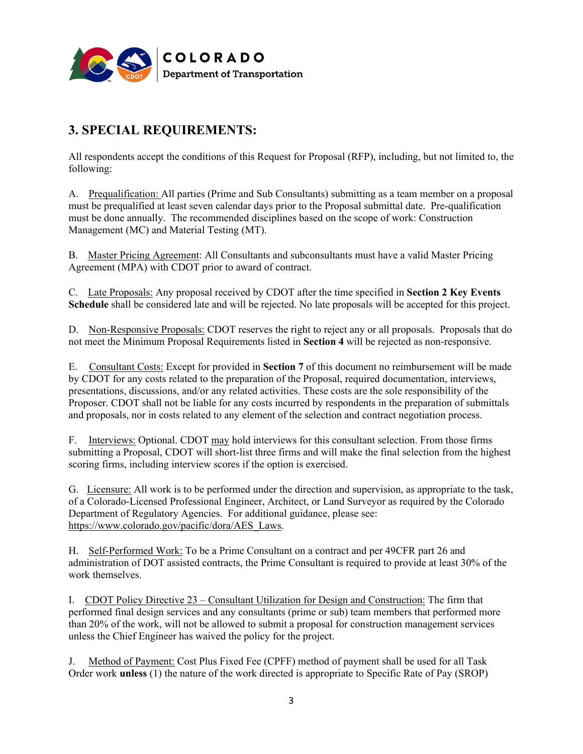

# **3. SPECIAL REQUIREMENTS:**

All respondents accept the conditions of this Request for Proposal (RFP), including, but not limited to, the following:

A. Prequalification: All parties (Prime and Sub Consultants) submitting as a team member on a proposal must be prequalified at least seven calendar days prior to the Proposal submittal date. Pre-qualification must be done annually. The recommended disciplines based on the scope of work: Construction Management (MC) and Material Testing (MT).

B. Master Pricing Agreement: All Consultants and subconsultants must have a valid Master Pricing Agreement (MPA) with CDOT prior to award of contract.

C. Late Proposals: Any proposal received by CDOT after the time specified in **Section 2 Key Events Schedule** shall be considered late and will be rejected. No late proposals will be accepted for this project.

D. Non-Responsive Proposals: CDOT reserves the right to reject any or all proposals. Proposals that do not meet the Minimum Proposal Requirements listed in **Section 4** will be rejected as non-responsive.

E. Consultant Costs: Except for provided in **Section 7** of this document no reimbursement will be made by CDOT for any costs related to the preparation of the Proposal, required documentation, interviews, presentations, discussions, and/or any related activities. These costs are the sole responsibility of the Proposer. CDOT shall not be liable for any costs incurred by respondents in the preparation of submittals and proposals, nor in costs related to any element of the selection and contract negotiation process.

F. Interviews: Optional. CDOT may hold interviews for this consultant selection. From those firms submitting a Proposal, CDOT will short-list three firms and will make the final selection from the highest scoring firms, including interview scores if the option is exercised.

G. Licensure: All work is to be performed under the direction and supervision, as appropriate to the task, of a Colorado-Licensed Professional Engineer, Architect, or Land Surveyor as required by the Colorado Department of Regulatory Agencies. For additional guidance, please see: [https://www.colorado.gov/pacific/dora/AES\\_Laws.](https://www.colorado.gov/pacific/dora/AES_Laws)

H. Self-Performed Work: To be a Prime Consultant on a contract and per 49CFR part 26 and administration of DOT assisted contracts, the Prime Consultant is required to provide at least 30% of the work themselves.

I. CDOT Policy Directive 23 – Consultant Utilization for Design and Construction: The firm that performed final design services and any consultants (prime or sub) team members that performed more than 20% of the work, will not be allowed to submit a proposal for construction management services unless the Chief Engineer has waived the policy for the project.

J. Method of Payment: Cost Plus Fixed Fee (CPFF) method of payment shall be used for all Task Order work **unless** (1) the nature of the work directed is appropriate to Specific Rate of Pay (SROP)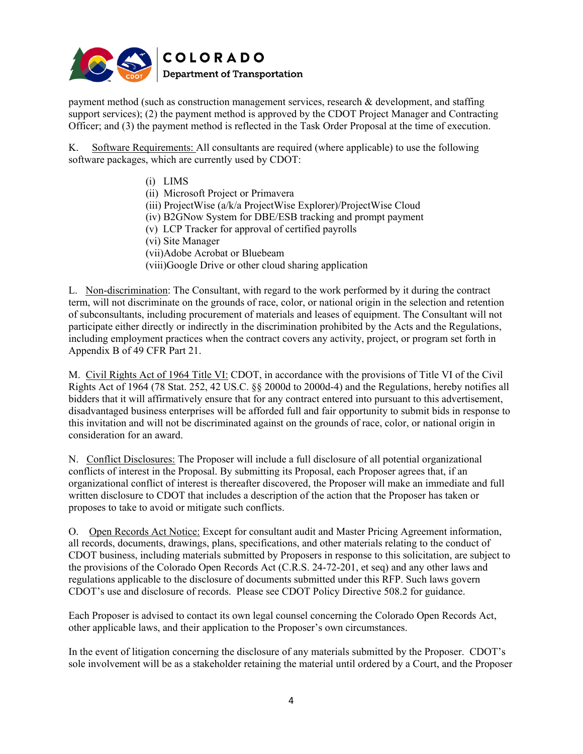

payment method (such as construction management services, research & development, and staffing support services); (2) the payment method is approved by the CDOT Project Manager and Contracting Officer; and (3) the payment method is reflected in the Task Order Proposal at the time of execution.

K. Software Requirements: All consultants are required (where applicable) to use the following software packages, which are currently used by CDOT:

- (i) LIMS
- (ii) Microsoft Project or Primavera
- (iii) ProjectWise (a/k/a ProjectWise Explorer)/ProjectWise Cloud
- (iv) B2GNow System for DBE/ESB tracking and prompt payment
- (v) LCP Tracker for approval of certified payrolls
- (vi) Site Manager
- (vii)Adobe Acrobat or Bluebeam
- (viii)Google Drive or other cloud sharing application

L. Non-discrimination: The Consultant, with regard to the work performed by it during the contract term, will not discriminate on the grounds of race, color, or national origin in the selection and retention of subconsultants, including procurement of materials and leases of equipment. The Consultant will not participate either directly or indirectly in the discrimination prohibited by the Acts and the Regulations, including employment practices when the contract covers any activity, project, or program set forth in Appendix B of 49 CFR Part 21.

M. Civil Rights Act of 1964 Title VI: CDOT, in accordance with the provisions of Title VI of the Civil Rights Act of 1964 (78 Stat. 252, 42 US.C. §§ 2000d to 2000d-4) and the Regulations, hereby notifies all bidders that it will affirmatively ensure that for any contract entered into pursuant to this advertisement, disadvantaged business enterprises will be afforded full and fair opportunity to submit bids in response to this invitation and will not be discriminated against on the grounds of race, color, or national origin in consideration for an award.

N. Conflict Disclosures: The Proposer will include a full disclosure of all potential organizational conflicts of interest in the Proposal. By submitting its Proposal, each Proposer agrees that, if an organizational conflict of interest is thereafter discovered, the Proposer will make an immediate and full written disclosure to CDOT that includes a description of the action that the Proposer has taken or proposes to take to avoid or mitigate such conflicts.

O. Open Records Act Notice: Except for consultant audit and Master Pricing Agreement information, all records, documents, drawings, plans, specifications, and other materials relating to the conduct of CDOT business, including materials submitted by Proposers in response to this solicitation, are subject to the provisions of the Colorado Open Records Act (C.R.S. 24-72-201, et seq) and any other laws and regulations applicable to the disclosure of documents submitted under this RFP. Such laws govern CDOT's use and disclosure of records. Please see CDOT Policy Directive 508.2 for guidance.

Each Proposer is advised to contact its own legal counsel concerning the Colorado Open Records Act, other applicable laws, and their application to the Proposer's own circumstances.

In the event of litigation concerning the disclosure of any materials submitted by the Proposer. CDOT's sole involvement will be as a stakeholder retaining the material until ordered by a Court, and the Proposer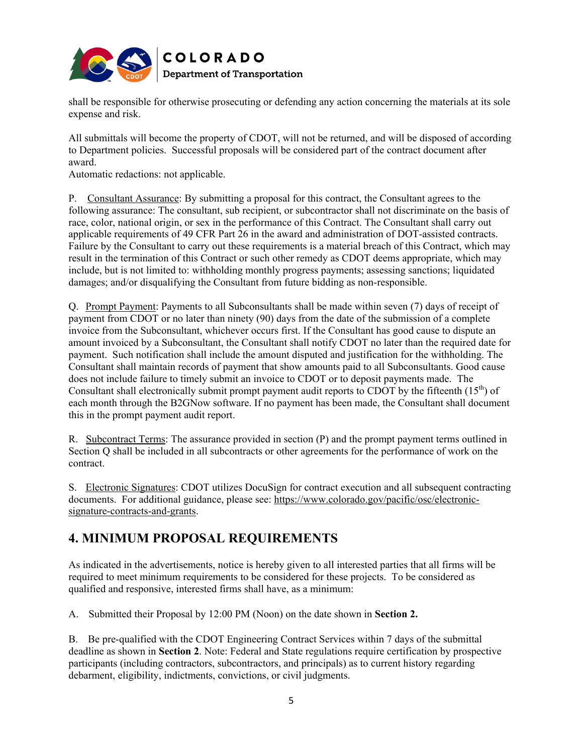

shall be responsible for otherwise prosecuting or defending any action concerning the materials at its sole expense and risk.

All submittals will become the property of CDOT, will not be returned, and will be disposed of according to Department policies. Successful proposals will be considered part of the contract document after award.

Automatic redactions: not applicable.

P. Consultant Assurance: By submitting a proposal for this contract, the Consultant agrees to the following assurance: The consultant, sub recipient, or subcontractor shall not discriminate on the basis of race, color, national origin, or sex in the performance of this Contract. The Consultant shall carry out applicable requirements of 49 CFR Part 26 in the award and administration of DOT-assisted contracts. Failure by the Consultant to carry out these requirements is a material breach of this Contract, which may result in the termination of this Contract or such other remedy as CDOT deems appropriate, which may include, but is not limited to: withholding monthly progress payments; assessing sanctions; liquidated damages; and/or disqualifying the Consultant from future bidding as non-responsible.

Q. Prompt Payment: Payments to all Subconsultants shall be made within seven (7) days of receipt of payment from CDOT or no later than ninety (90) days from the date of the submission of a complete invoice from the Subconsultant, whichever occurs first. If the Consultant has good cause to dispute an amount invoiced by a Subconsultant, the Consultant shall notify CDOT no later than the required date for payment. Such notification shall include the amount disputed and justification for the withholding. The Consultant shall maintain records of payment that show amounts paid to all Subconsultants. Good cause does not include failure to timely submit an invoice to CDOT or to deposit payments made. The Consultant shall electronically submit prompt payment audit reports to CDOT by the fifteenth  $(15<sup>th</sup>)$  of each month through the B2GNow software. If no payment has been made, the Consultant shall document this in the prompt payment audit report.

R. Subcontract Terms: The assurance provided in section (P) and the prompt payment terms outlined in Section Q shall be included in all subcontracts or other agreements for the performance of work on the contract.

S. Electronic Signatures: CDOT utilizes DocuSign for contract execution and all subsequent contracting documents. For additional guidance, please see: [https://www.colorado.gov/pacific/osc/electronic](https://www.colorado.gov/pacific/osc/electronic-signature-contracts-and-grants)[signature-contracts-and-grants.](https://www.colorado.gov/pacific/osc/electronic-signature-contracts-and-grants)

## **4. MINIMUM PROPOSAL REQUIREMENTS**

As indicated in the advertisements, notice is hereby given to all interested parties that all firms will be required to meet minimum requirements to be considered for these projects. To be considered as qualified and responsive, interested firms shall have, as a minimum:

A. Submitted their Proposal by 12:00 PM (Noon) on the date shown in **Section 2.**

B. Be pre-qualified with the CDOT Engineering Contract Services within 7 days of the submittal deadline as shown in **Section 2**. Note: Federal and State regulations require certification by prospective participants (including contractors, subcontractors, and principals) as to current history regarding debarment, eligibility, indictments, convictions, or civil judgments.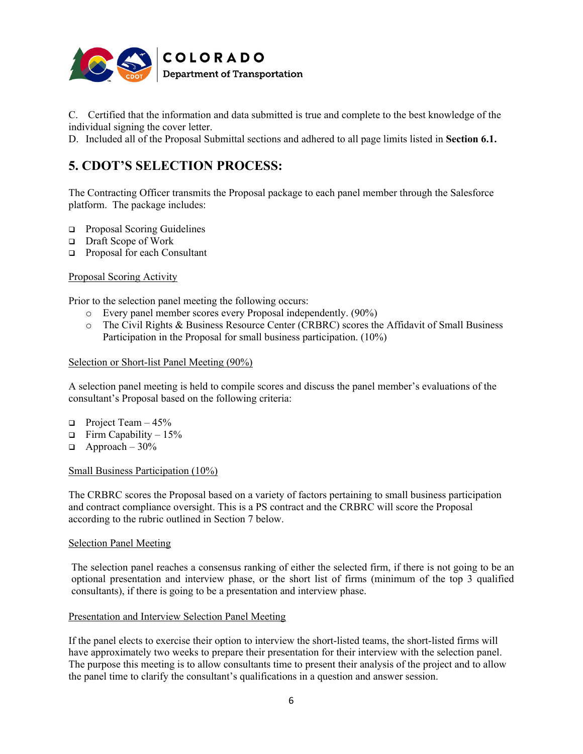

C. Certified that the information and data submitted is true and complete to the best knowledge of the individual signing the cover letter.

D. Included all of the Proposal Submittal sections and adhered to all page limits listed in **Section 6.1.**

# **5. CDOT'S SELECTION PROCESS:**

The Contracting Officer transmits the Proposal package to each panel member through the Salesforce platform. The package includes:

- **Proposal Scoring Guidelines**
- Draft Scope of Work
- □ Proposal for each Consultant

#### Proposal Scoring Activity

Prior to the selection panel meeting the following occurs:

- o Every panel member scores every Proposal independently. (90%)
- o The Civil Rights & Business Resource Center (CRBRC) scores the Affidavit of Small Business Participation in the Proposal for small business participation. (10%)

#### Selection or Short-list Panel Meeting (90%)

A selection panel meeting is held to compile scores and discuss the panel member's evaluations of the consultant's Proposal based on the following criteria:

- **Project Team 45%**
- $\Box$  Firm Capability 15%
- $\Box$  Approach 30%

#### Small Business Participation (10%)

The CRBRC scores the Proposal based on a variety of factors pertaining to small business participation and contract compliance oversight. This is a PS contract and the CRBRC will score the Proposal according to the rubric outlined in Section 7 below.

#### Selection Panel Meeting

The selection panel reaches a consensus ranking of either the selected firm, if there is not going to be an optional presentation and interview phase, or the short list of firms (minimum of the top 3 qualified consultants), if there is going to be a presentation and interview phase.

#### Presentation and Interview Selection Panel Meeting

If the panel elects to exercise their option to interview the short-listed teams, the short-listed firms will have approximately two weeks to prepare their presentation for their interview with the selection panel. The purpose this meeting is to allow consultants time to present their analysis of the project and to allow the panel time to clarify the consultant's qualifications in a question and answer session.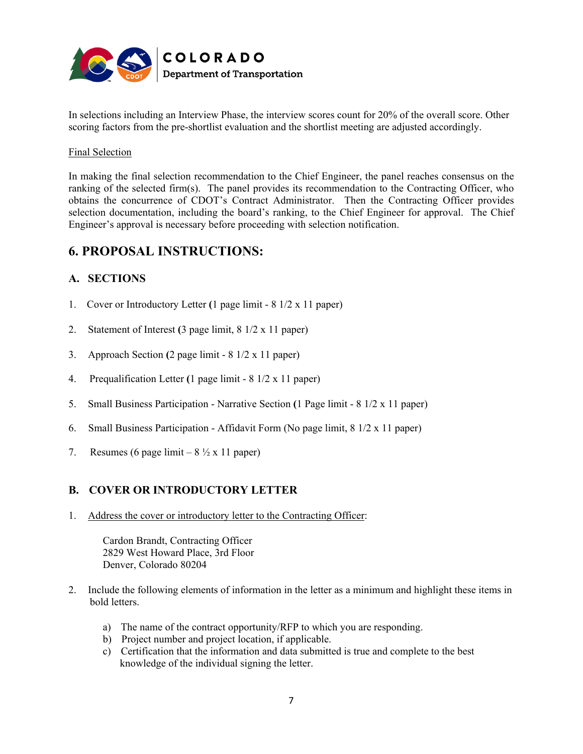

In selections including an Interview Phase, the interview scores count for 20% of the overall score. Other scoring factors from the pre-shortlist evaluation and the shortlist meeting are adjusted accordingly.

#### Final Selection

In making the final selection recommendation to the Chief Engineer, the panel reaches consensus on the ranking of the selected firm(s). The panel provides its recommendation to the Contracting Officer, who obtains the concurrence of CDOT's Contract Administrator. Then the Contracting Officer provides selection documentation, including the board's ranking, to the Chief Engineer for approval. The Chief Engineer's approval is necessary before proceeding with selection notification.

### **6. PROPOSAL INSTRUCTIONS:**

### **A. SECTIONS**

- 1. Cover or Introductory Letter **(**1 page limit 8 1/2 x 11 paper)
- 2. Statement of Interest **(**3 page limit, 8 1/2 x 11 paper)
- 3. Approach Section **(**2 page limit 8 1/2 x 11 paper)
- 4. Prequalification Letter **(**1 page limit 8 1/2 x 11 paper)
- 5. Small Business Participation Narrative Section **(**1 Page limit 8 1/2 x 11 paper)
- 6. Small Business Participation Affidavit Form (No page limit, 8 1/2 x 11 paper)
- 7. Resumes (6 page limit  $8\frac{1}{2} \times 11$  paper)

### **B. COVER OR INTRODUCTORY LETTER**

1. Address the cover or introductory letter to the Contracting Officer:

Cardon Brandt, Contracting Officer 2829 West Howard Place, 3rd Floor Denver, Colorado 80204

- 2. Include the following elements of information in the letter as a minimum and highlight these items in bold letters.
	- a) The name of the contract opportunity/RFP to which you are responding.
	- b) Project number and project location, if applicable.
	- c) Certification that the information and data submitted is true and complete to the best knowledge of the individual signing the letter.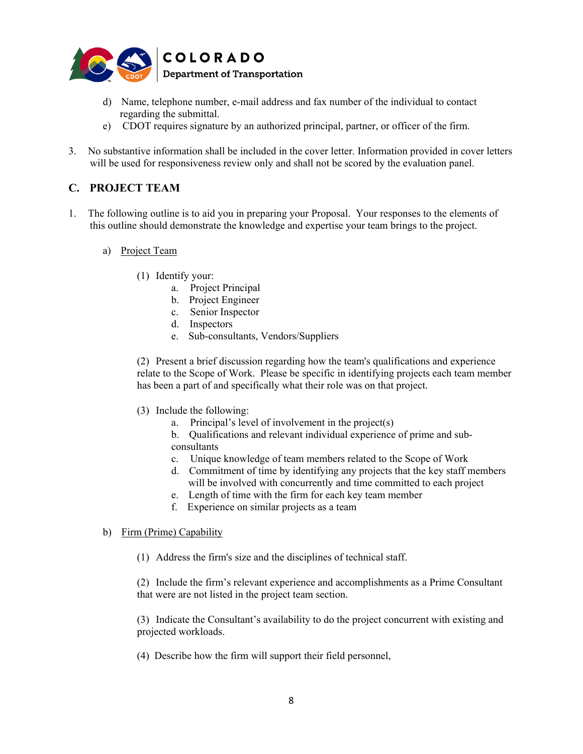

- d) Name, telephone number, e-mail address and fax number of the individual to contact regarding the submittal.
- e) CDOT requires signature by an authorized principal, partner, or officer of the firm.
- 3. No substantive information shall be included in the cover letter. Information provided in cover letters will be used for responsiveness review only and shall not be scored by the evaluation panel.

### **C. PROJECT TEAM**

- 1. The following outline is to aid you in preparing your Proposal. Your responses to the elements of this outline should demonstrate the knowledge and expertise your team brings to the project.
	- a) Project Team
		- (1) Identify your:
			- a. Project Principal
			- b. Project Engineer
			- c. Senior Inspector
			- d. Inspectors
			- e. Sub-consultants, Vendors/Suppliers

(2) Present a brief discussion regarding how the team's qualifications and experience relate to the Scope of Work. Please be specific in identifying projects each team member has been a part of and specifically what their role was on that project.

- (3) Include the following:
	- a. Principal's level of involvement in the project(s)
	- b. Qualifications and relevant individual experience of prime and subconsultants
	- c. Unique knowledge of team members related to the Scope of Work
	- d. Commitment of time by identifying any projects that the key staff members will be involved with concurrently and time committed to each project
	- e. Length of time with the firm for each key team member
	- f. Experience on similar projects as a team

#### b) Firm (Prime) Capability

(1) Address the firm's size and the disciplines of technical staff.

(2) Include the firm's relevant experience and accomplishments as a Prime Consultant that were are not listed in the project team section.

(3) Indicate the Consultant's availability to do the project concurrent with existing and projected workloads.

(4) Describe how the firm will support their field personnel,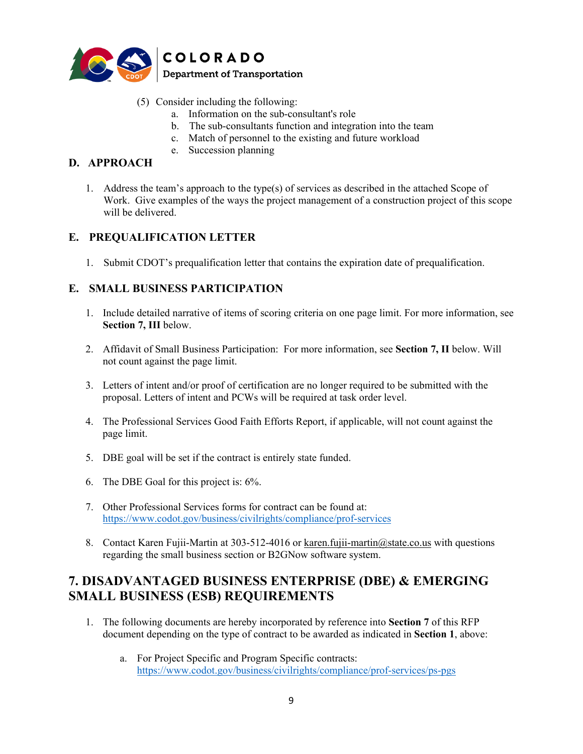

- (5) Consider including the following:
	- a. Information on the sub-consultant's role
	- b. The sub-consultants function and integration into the team
	- c. Match of personnel to the existing and future workload
	- e. Succession planning

### **D. APPROACH**

1. Address the team's approach to the type(s) of services as described in the attached Scope of Work. Give examples of the ways the project management of a construction project of this scope will be delivered.

### **E. PREQUALIFICATION LETTER**

1. Submit CDOT's prequalification letter that contains the expiration date of prequalification.

### **E. SMALL BUSINESS PARTICIPATION**

- 1. Include detailed narrative of items of scoring criteria on one page limit. For more information, see **Section 7, III** below.
- 2. Affidavit of Small Business Participation: For more information, see **Section 7, II** below. Will not count against the page limit.
- 3. Letters of intent and/or proof of certification are no longer required to be submitted with the proposal. Letters of intent and PCWs will be required at task order level.
- 4. The Professional Services Good Faith Efforts Report, if applicable, will not count against the page limit.
- 5. DBE goal will be set if the contract is entirely state funded.
- 6. The DBE Goal for this project is: 6%.
- 7. Other Professional Services forms for contract can be found at: <https://www.codot.gov/business/civilrights/compliance/prof-services>
- 8. Contact Karen Fujii-Martin at 303-512-4016 or [karen.fujii-martin@state.co.us](mailto:karen.fujii-martin@state.co.us) with questions regarding the small business section or B2GNow software system.

### **7. DISADVANTAGED BUSINESS ENTERPRISE (DBE) & EMERGING SMALL BUSINESS (ESB) REQUIREMENTS**

- 1. The following documents are hereby incorporated by reference into **Section 7** of this RFP document depending on the type of contract to be awarded as indicated in **Section 1**, above:
	- a. For Project Specific and Program Specific contracts: <https://www.codot.gov/business/civilrights/compliance/prof-services/ps-pgs>